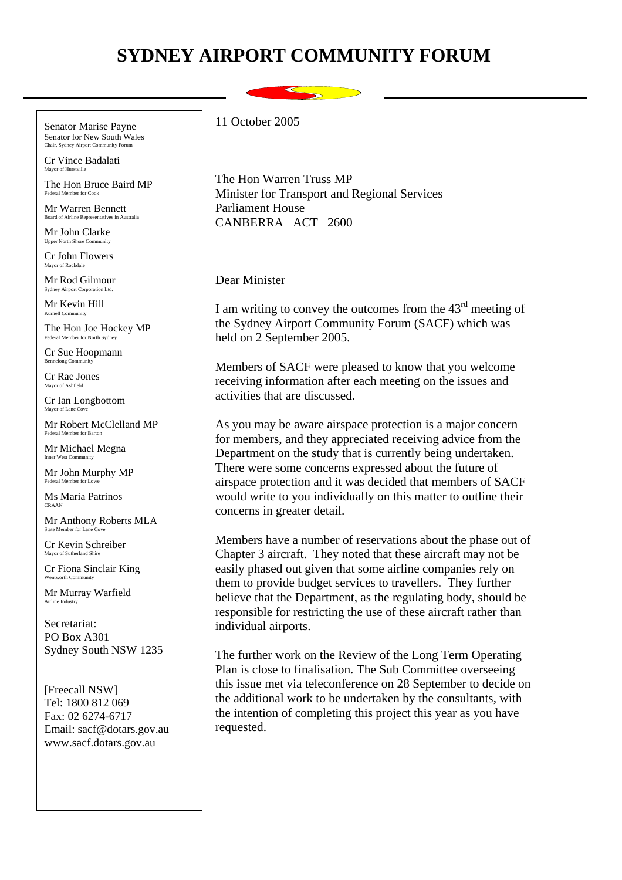## **SYDNEY AIRPORT COMMUNITY FORUM**

Senator Marise Payne Senator for New South Wales

Cr Vince Badalati Mayor of Hurstville

The Hon Bruce Baird MP Federal Member for Cook

Mr Warren Bennett Board of Airline Representatives in

Mr John Clarke Upper North Shore Com

Cr John Flowers Mayor of Rockdale

Mr Rod Gilmour Sydney Airport Corporation Ltd.

Mr Kevin Hill  $K$ urnell  $Com$ 

The Hon Joe Hockey MP Federal Member for North Sydney

Cr Sue Hoopmann Bennelong Community

Cr Rae Jones Mayor of Ashfield

Cr Ian Longbottom Mayor of Lane  $C$ 

Mr Robert McClelland MP Federal Member for Barton

Mr Michael Megna Inner West Community

Mr John Murphy MP

Ms Maria Patrinos CRAAN

Mr Anthony Roberts MLA State Member for Lane C

Cr Kevin Schreiber Mayor of Sutherland Shire

Cr Fiona Sinclair King

Mr Murray Warfield Airline Industry

Secretariat: PO Box A301 Sydney South NSW 1235

[Freecall NSW] Tel: 1800 812 069 Fax: 02 6274-6717 Email: sacf@dotars.gov.au www.sacf.dotars.gov.au

11 October 2005

The Hon Warren Truss MP Minister for Transport and Regional Services Parliament House CANBERRA ACT 2600

Dear Minister

I am writing to convey the outcomes from the  $43<sup>rd</sup>$  meeting of the Sydney Airport Community Forum (SACF) which was held on 2 September 2005.

Members of SACF were pleased to know that you welcome receiving information after each meeting on the issues and activities that are discussed.

As you may be aware airspace protection is a major concern for members, and they appreciated receiving advice from the Department on the study that is currently being undertaken. There were some concerns expressed about the future of airspace protection and it was decided that members of SACF would write to you individually on this matter to outline their concerns in greater detail.

Members have a number of reservations about the phase out of Chapter 3 aircraft. They noted that these aircraft may not be easily phased out given that some airline companies rely on them to provide budget services to travellers. They further believe that the Department, as the regulating body, should be responsible for restricting the use of these aircraft rather than individual airports.

The further work on the Review of the Long Term Operating Plan is close to finalisation. The Sub Committee overseeing this issue met via teleconference on 28 September to decide on the additional work to be undertaken by the consultants, with the intention of completing this project this year as you have requested.